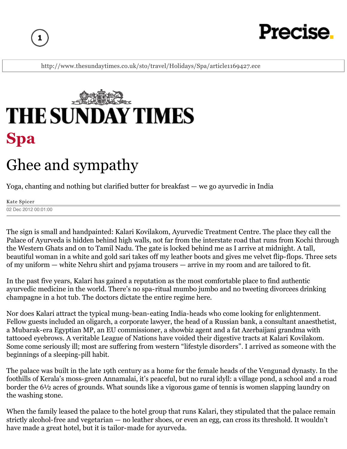

# Precise

http://www.thesundaytimes.co.uk/sto/travel/Holidays/Spa/article1169427.ece



## Ghee and sympathy

Yoga, chanting and nothing but clarified butter for breakfast — we go ayurvedic in India

Kate Spicer 02 Dec 2012 00:01:00

The sign is small and handpainted: Kalari Kovilakom, Ayurvedic Treatment Centre. The place they call the Palace of Ayurveda is hidden behind high walls, not far from the interstate road that runs from Kochi through the Western Ghats and on to Tamil Nadu. The gate is locked behind me as I arrive at midnight. A tall, beautiful woman in a white and gold sari takes off my leather boots and gives me velvet flip-flops. Three sets of my uniform — white Nehru shirt and pyjama trousers — arrive in my room and are tailored to fit.

In the past five years, Kalari has gained a reputation as the most comfortable place to find authentic ayurvedic medicine in the world. There's no spa-ritual mumbo jumbo and no tweeting divorcees drinking champagne in a hot tub. The doctors dictate the entire regime here.

Nor does Kalari attract the typical mung-bean-eating India-heads who come looking for enlightenment. Fellow guests included an oligarch, a corporate lawyer, the head of a Russian bank, a consultant anaesthetist, a Mubarak-era Egyptian MP, an EU commissioner, a showbiz agent and a fat Azerbaijani grandma with tattooed eyebrows. A veritable League of Nations have voided their digestive tracts at Kalari Kovilakom. Some come seriously ill; most are suffering from western "lifestyle disorders". I arrived as someone with the beginnings of a sleeping-pill habit.

The palace was built in the late 19th century as a home for the female heads of the Vengunad dynasty. In the foothills of Kerala's moss-green Annamalai, it's peaceful, but no rural idyll: a village pond, a school and a road border the 6½ acres of grounds. What sounds like a vigorous game of tennis is women slapping laundry on the washing stone.

When the family leased the palace to the hotel group that runs Kalari, they stipulated that the palace remain strictly alcohol-free and vegetarian — no leather shoes, or even an egg, can cross its threshold. It wouldn't have made a great hotel, but it is tailor-made for ayurveda.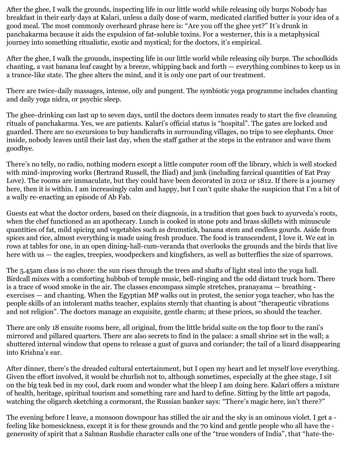After the ghee, I walk the grounds, inspecting life in our little world while releasing oily burps Nobody has breakfast in their early days at Kalari, unless a daily dose of warm, medicated clarified butter is your idea of a good meal. The most commonly overheard phrase here is: "Are you off the ghee yet?" It's drunk in panchakarma because it aids the expulsion of fat-soluble toxins. For a westerner, this is a metaphysical journey into something ritualistic, exotic and mystical; for the doctors, it's empirical.

After the ghee, I walk the grounds, inspecting life in our little world while releasing oily burps. The schoolkids chanting, a vast banana leaf caught by a breeze, whipping back and forth — everything combines to keep us in a trance-like state. The ghee alters the mind, and it is only one part of our treatment.

There are twice-daily massages, intense, oily and pungent. The symbiotic yoga programme includes chanting and daily yoga nidra, or psychic sleep.

The ghee-drinking can last up to seven days, until the doctors deem inmates ready to start the five cleansing rituals of panchakarma. Yes, we are patients. Kalari's official status is "hospital". The gates are locked and guarded. There are no excursions to buy handicrafts in surrounding villages, no trips to see elephants. Once inside, nobody leaves until their last day, when the staff gather at the steps in the entrance and wave them goodbye.

There's no telly, no radio, nothing modern except a little computer room off the library, which is well stocked with mind-improving works (Bertrand Russell, the Iliad) and junk (including farcical quantities of Eat Pray Love). The rooms are immaculate, but they could have been decorated in 2012 or 1812. If there is a journey here, then it is within. I am increasingly calm and happy, but I can't quite shake the suspicion that I'm a bit of a wally re-enacting an episode of Ab Fab.

Guests eat what the doctor orders, based on their diagnosis, in a tradition that goes back to ayurveda's roots, when the chef functioned as an apothecary. Lunch is cooked in stone pots and brass skillets with minuscule quantities of fat, mild spicing and vegetables such as drumstick, banana stem and endless gourds. Aside from spices and rice, almost everything is made using fresh produce. The food is transcendent, I love it. We eat in rows at tables for one, in an open dining-hall-cum-veranda that overlooks the grounds and the birds that live here with us — the eagles, treepies, woodpeckers and kingfishers, as well as butterflies the size of sparrows.

The 5.45am class is no chore: the sun rises through the trees and shafts of light steal into the yoga hall. Birdcall mixes with a comforting hubbub of temple music, bell-ringing and the odd distant truck horn. There is a trace of wood smoke in the air. The classes encompass simple stretches, pranayama — breathing exercises — and chanting. When the Egyptian MP walks out in protest, the senior yoga teacher, who has the people skills of an intolerant maths teacher, explains sternly that chanting is about "therapeutic vibrations and not religion". The doctors manage an exquisite, gentle charm; at these prices, so should the teacher.

There are only 18 ensuite rooms here, all original, from the little bridal suite on the top floor to the rani's mirrored and pillared quarters. There are also secrets to find in the palace: a small shrine set in the wall; a shuttered internal window that opens to release a gust of guava and coriander; the tail of a lizard disappearing into Krishna's ear.

After dinner, there's the dreaded cultural entertainment, but I open my heart and let myself love everything. Given the effort involved, it would be churlish not to, although sometimes, especially at the ghee stage, I sit on the big teak bed in my cool, dark room and wonder what the bleep I am doing here. Kalari offers a mixture of health, heritage, spiritual tourism and something rare and hard to define. Sitting by the little art pagoda, watching the oligarch sketching a cormorant, the Russian banker says: "There's magic here, isn't there?"

The evening before I leave, a monsoon downpour has stilled the air and the sky is an ominous violet. I get a feeling like homesickness, except it is for these grounds and the 70 kind and gentle people who all have the generosity of spirit that a Salman Rushdie character calls one of the "true wonders of India", that "hate-the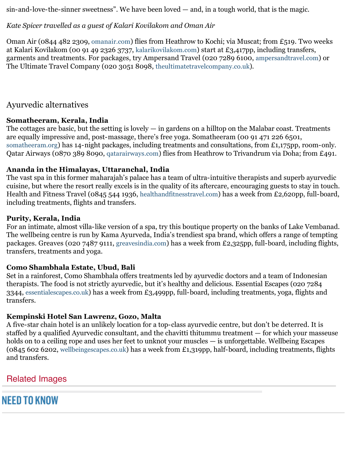$sin$ -and-love-the-sinner sweetness". We have been loved  $-$  and, in a tough world, that is the magic.

#### *Kate Spicer travelled as a guest of Kalari Kovilakom and Oman Air*

Oman Air (0844 482 2309, omanair.com) flies from Heathrow to Kochi; via Muscat; from £519. Two weeks at Kalari Kovilakom (00 91 49 2326 3737, kalarikovilakom.com) start at £3,417pp, including transfers, garments and treatments. For packages, try Ampersand Travel (020 7289 6100, ampersandtravel.com) or The Ultimate Travel Company (020 3051 8098, theultimatetravelcompany.co.uk).

#### Ayurvedic alternatives

#### **Somatheeram, Kerala, India**

The cottages are basic, but the setting is lovely  $-$  in gardens on a hilltop on the Malabar coast. Treatments are equally impressive and, post-massage, there's free yoga. Somatheeram (00 91 471 226 6501, somatheeram.org) has 14-night packages, including treatments and consultations, from £1,175pp, room-only. Qatar Airways (0870 389 8090, qatarairways.com) flies from Heathrow to Trivandrum via Doha; from £491.

#### **Ananda in the Himalayas, Uttaranchal, India**

The vast spa in this former maharajah's palace has a team of ultra-intuitive therapists and superb ayurvedic cuisine, but where the resort really excels is in the quality of its aftercare, encouraging guests to stay in touch. Health and Fitness Travel (0845 544 1936, healthandfitnesstravel.com) has a week from £2,620pp, full-board, including treatments, flights and transfers.

#### **Purity, Kerala, India**

For an intimate, almost villa-like version of a spa, try this boutique property on the banks of Lake Vembanad. The wellbeing centre is run by Kama Ayurveda, India's trendiest spa brand, which offers a range of tempting packages. Greaves (020 7487 9111, greavesindia.com) has a week from £2,325pp, full-board, including flights, transfers, treatments and yoga.

#### **Como Shambhala Estate, Ubud, Bali**

Set in a rainforest, Como Shambhala offers treatments led by ayurvedic doctors and a team of Indonesian therapists. The food is not strictly ayurvedic, but it's healthy and delicious. Essential Escapes (020 7284 3344, essentialescapes.co.uk) has a week from £3,499pp, full-board, including treatments, yoga, flights and transfers.

#### **Kempinski Hotel San Lawrenz, Gozo, Malta**

A five-star chain hotel is an unlikely location for a top-class ayurvedic centre, but don't be deterred. It is staffed by a qualified Ayurvedic consultant, and the chavitti thitummu treatment — for which your masseuse holds on to a ceiling rope and uses her feet to unknot your muscles — is unforgettable. Wellbeing Escapes (0845 602 6202, wellbeingescapes.co.uk) has a week from £1,319pp, half-board, including treatments, flights and transfers.

#### Related Images

### **NEED TO KNOW**